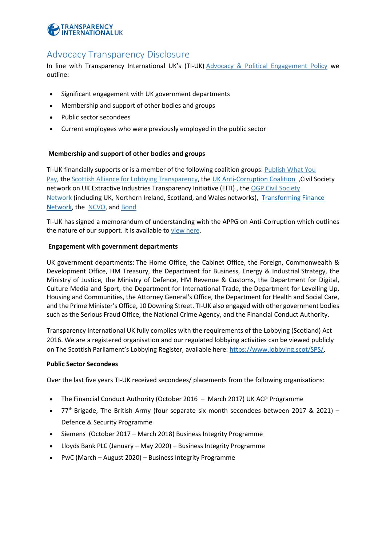

# Advocacy Transparency Disclosure

In line with Transparency International UK's (TI-UK) [Advocacy & Political Engagement Policy](https://www.transparency.org.uk/who-we-are/governance/policies-procedures/) we outline:

- Significant engagement with UK government departments
- Membership and support of other bodies and groups
- Public sector secondees
- Current employees who were previously employed in the public sector

## **Membership and support of other bodies and groups**

TI-UK financially supports or is a member of the following coalition groups: [Publish What You](http://www.publishwhatyoupay.org/)  [Pay,](http://www.publishwhatyoupay.org/) the [Scottish Alliance for Lobbying Transparency,](http://www.lobbyingtransparency.org/salt/#about-salt) the [UK Anti-Corruption Coalition](https://www.ukanticorruptioncoalition.org/) ,Civil Society network on UK Extractive Industries Transparency Initiative (EITI) , the [OGP Civil Society](http://www.opengovernment.org.uk/)  [Network](http://www.opengovernment.org.uk/) (including UK, Northern Ireland, Scotland, and Wales networks), [Transforming Finance](https://financeinnovationlab.org/slides/transforming-finance/)  [Network,](https://financeinnovationlab.org/slides/transforming-finance/) the [NCVO,](https://www.ncvo.org.uk/) and [Bond](https://www.bond.org.uk/)

TI-UK has signed a memorandum of understanding with the APPG on Anti-Corruption which outlines the nature of our support. It is available to [view here.](https://www.transparency.org.uk/publications/ti-uk-anti-corruption-appg-mou)

### **Engagement with government departments**

UK government departments: The Home Office, the Cabinet Office, the Foreign, Commonwealth & Development Office, HM Treasury, the Department for Business, Energy & Industrial Strategy, the Ministry of Justice, the Ministry of Defence, HM Revenue & Customs, the Department for Digital, Culture Media and Sport, the Department for International Trade, the Department for Levelling Up, Housing and Communities, the Attorney General's Office, the Department for Health and Social Care, and the Prime Minister's Office, 10 Downing Street. TI-UK also engaged with other government bodies such as the Serious Fraud Office, the National Crime Agency, and the Financial Conduct Authority.

Transparency International UK fully complies with the requirements of the Lobbying (Scotland) Act 2016. We are a registered organisation and our regulated lobbying activities can be viewed publicly on The Scottish Parliament's Lobbying Register, available here: [https://www.lobbying.scot/SPS/.](https://www.lobbying.scot/SPS/)

#### **Public Sector Secondees**

Over the last five years TI-UK received secondees/ placements from the following organisations:

- The Financial Conduct Authority (October 2016 March 2017) UK ACP Programme
- $77<sup>th</sup>$  Brigade, The British Army (four separate six month secondees between 2017 & 2021) Defence & Security Programme
- Siemens (October 2017 March 2018) Business Integrity Programme
- Lloyds Bank PLC (January May 2020) Business Integrity Programme
- PwC (March August 2020) Business Integrity Programme